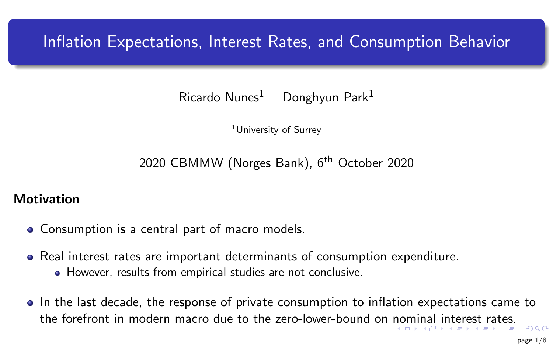# <span id="page-0-0"></span>Inflation Expectations, Interest Rates, and Consumption Behavior

 $Ricardo$  Nunes<sup>1</sup> Donghyun Park<sup>1</sup>

<sup>1</sup>University of Surrey

2020 CBMMW (Norges Bank), 6<sup>th</sup> October 2020

### **Motivation**

- Consumption is a central part of macro models.
- Real interest rates are important determinants of consumption expenditure.
	- However, results from empirical studies are not conclusive.
- In the last decade, the response of private consumption to inflation expectations came to the forefront in modern macro due to the zero-lower-bound on [no](#page-0-0)[mi](#page-1-0)[nal](#page-0-0) [i](#page-1-0)[nter](#page-0-0)[e](#page-1-0)[st r](#page-0-0)[a](#page-1-0)[te](#page-0-0)[s.](#page-7-0)  $\Omega$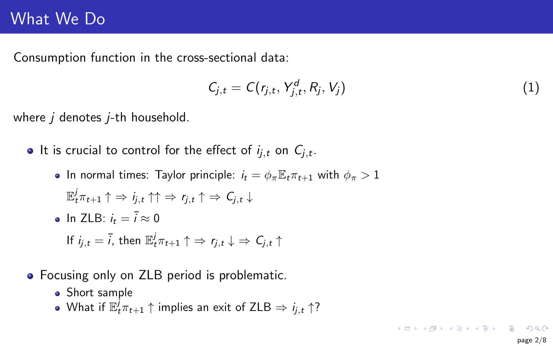### <span id="page-1-0"></span>What We Do

Consumption function in the cross-sectional data:

$$
C_{j,t} = C(r_{j,t}, Y_{j,t}^d, R_j, V_j)
$$
\n
$$
(1)
$$

where  $i$  denotes  $i$ -th household.

It is crucial to control for the effect of  $i_{j,t}$  on  $C_{j,t}.$ 

• In normal times: Taylor principle:  $i_t = \phi_\pi \mathbb{E}_t \pi_{t+1}$  with  $\phi_\pi > 1$ 

$$
\mathbb{E}_t^j \pi_{t+1} \uparrow \Rightarrow i_{j,t} \uparrow \uparrow \Rightarrow r_{j,t} \uparrow \Rightarrow C_{j,t} \downarrow
$$

- In  $7I B: i_t = \overline{i} \approx 0$ If  $i_{j,t} = \bar{i}$ , then  $\mathbb{E}^j_t \pi_{t+1} \uparrow \Rightarrow r_{j,t} \downarrow \Rightarrow C_{j,t} \uparrow$
- Focusing only on ZLB period is problematic.
	- Short sample
	- What if  $\mathbb{E}^j_t\pi_{t+1}\uparrow$  implies an exit of ZLB  $\Rightarrow$   $i_{j,t}\uparrow ?$

**KORK EXTERICATELY**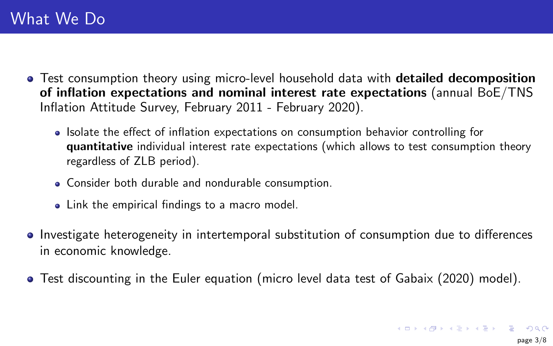- Test consumption theory using micro-level household data with **detailed decomposition** of inflation expectations and nominal interest rate expectations (annual BoE/TNS Inflation Attitude Survey, February 2011 - February 2020).
	- Isolate the effect of inflation expectations on consumption behavior controlling for quantitative individual interest rate expectations (which allows to test consumption theory regardless of ZLB period).
	- Consider both durable and nondurable consumption.
	- Link the empirical findings to a macro model.
- Investigate heterogeneity in intertemporal substitution of consumption due to differences in economic knowledge.
- Test discounting in the Euler equation (micro level data test of Gabaix (2020) model).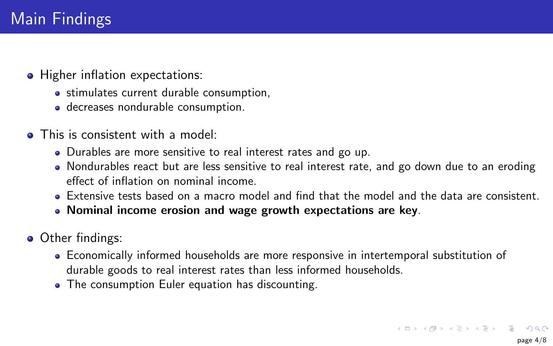- Higher inflation expectations:
	- stimulates current durable consumption,
	- decreases nondurable consumption.
- This is consistent with a model:
	- Durables are more sensitive to real interest rates and go up.
	- Nondurables react but are less sensitive to real interest rate, and go down due to an eroding effect of inflation on nominal income.
	- Extensive tests based on a macro model and find that the model and the data are consistent.
	- Nominal income erosion and wage growth expectations are key.
- Other findings:
	- Economically informed households are more responsive in intertemporal substitution of durable goods to real interest rates than less informed households.
	- The consumption Euler equation has discounting.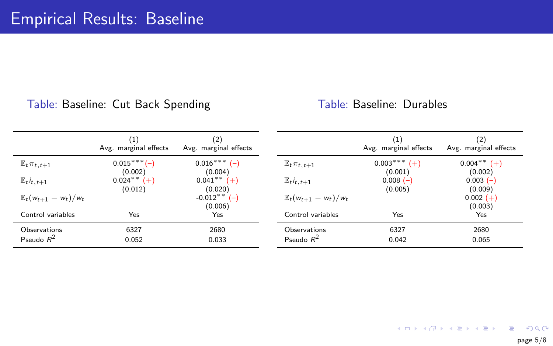### Table: Baseline: Cut Back Spending

#### Table: Baseline: Durables

|                                   | $\left(1\right)$<br>Avg. marginal effects | (2)<br>Avg. marginal effects           |                                   | $^{(1)}$<br>Avg. marginal effects | (2)<br>Avg. marginal effects |
|-----------------------------------|-------------------------------------------|----------------------------------------|-----------------------------------|-----------------------------------|------------------------------|
| $\mathbb{E}_t \pi_{t,t+1}$        | $0.015***(-)$<br>(0.002)                  | $0.016***$ (-)<br>(0.004)              | $E_t \pi_{t,t+1}$                 | $0.003***$ (+)<br>(0.001)         | $0.004$ ** $(+)$<br>(0.002)  |
| $\mathbb{E}_t i_{t,t+1}$          | $0.024$ <sup>**</sup> $(+)$<br>(0.012)    | $0.041$ <sup>**</sup> $(+)$<br>(0.020) | $\mathbb{E}_t i_{t,t+1}$          | $0.008(-)$<br>(0.005)             | $0.003(-)$<br>(0.009)        |
| $\mathbb{E}_t(w_{t+1} - w_t)/w_t$ |                                           | $-0.012$ <sup>**</sup> (-)<br>(0.006)  | $\mathbb{E}_t(w_{t+1} - w_t)/w_t$ |                                   | $0.002 (+)$<br>(0.003)       |
| Control variables                 | Yes                                       | Yes                                    | Control variables                 | Yes                               | Yes.                         |
| Observations<br>Pseudo $R^2$      | 6327<br>0.052                             | 2680<br>0.033                          | Observations<br>Pseudo $R^2$      | 6327<br>0.042                     | 2680<br>0.065                |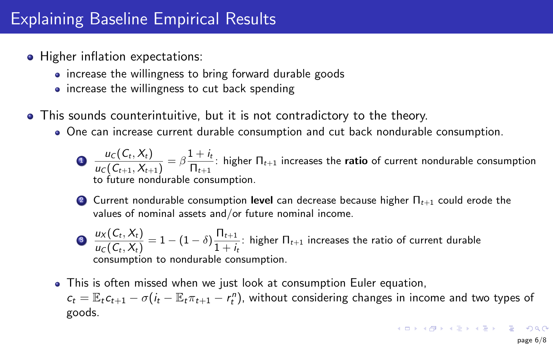# <span id="page-5-0"></span>Explaining Baseline Empirical Results

- Higher inflation expectations:
	- increase the willingness to bring forward durable goods
	- increase the willingness to cut back spending
- This sounds counterintuitive, but it is not contradictory to the theory.
	- One can increase current durable consumption and cut back nondurable consumption.

 $\mathbf{D} = \frac{u_c(C_t, X_t)}{u_c(z_t, X_t)}$  $\frac{u_c(C_t, X_t)}{u_c(C_{t+1}, X_{t+1})} = \beta \frac{1 + i_t}{\prod_{t+1}}$  $\frac{1-\tau}{n}$ : higher  $\Pi_{t+1}$  increases the **ratio** of current nondurable consumption to future nondurable consumption.

2 Current nondurable consumption level can decrease because higher  $\Pi_{t+1}$  could erode the values of nominal assets and/or future nominal income.

$$
\bullet \frac{u_X(C_t, X_t)}{u_C(C_t, X_t)} = 1 - (1 - \delta) \frac{\Pi_{t+1}}{1 + i_t}
$$
: higher  $\Pi_{t+1}$  increases the ratio of current durable consumption to nondurable consumption.

This is often missed when we just look at consumption Euler equation,  $c_t = \mathbb{E}_t c_{t+1} - \sigma(i_t - \mathbb{E}_t \pi_{t+1} - r_t^n)$ , without considering changes in income and two types of goods.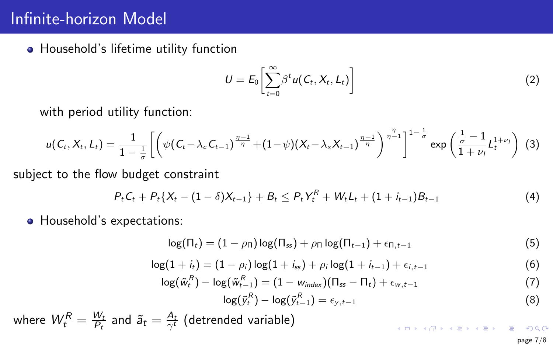# <span id="page-6-0"></span>Infinite-horizon Model

**•** Household's lifetime utility function

$$
U = E_0 \left[ \sum_{t=0}^{\infty} \beta^t u(C_t, X_t, L_t) \right]
$$
 (2)

with period utility function:

$$
u(C_t, X_t, L_t) = \frac{1}{1 - \frac{1}{\sigma}} \left[ \left( \psi(C_t - \lambda_c C_{t-1})^{\frac{\eta - 1}{\eta}} + (1 - \psi)(X_t - \lambda_x X_{t-1})^{\frac{\eta - 1}{\eta}} \right)^{\frac{\eta}{\eta - 1}} \right]^{1 - \frac{1}{\sigma}} \exp\left( \frac{\frac{1}{\sigma} - 1}{1 + \nu_1} L_t^{1 + \nu_1} \right) (3)
$$

subject to the flow budget constraint

$$
P_t C_t + P_t \{X_t - (1 - \delta)X_{t-1}\} + B_t \leq P_t Y_t^R + W_t L_t + (1 + i_{t-1})B_{t-1}
$$
\n
$$
\tag{4}
$$

Household's expectations:

$$
\log(\Pi_t) = (1 - \rho_{\Pi}) \log(\Pi_{ss}) + \rho_{\Pi} \log(\Pi_{t-1}) + \epsilon_{\Pi, t-1}
$$
\n(5)

$$
\log(1+i_t) = (1-\rho_i)\log(1+i_{ss}) + \rho_i\log(1+i_{t-1}) + \epsilon_{i,t-1}
$$
(6)

$$
\log(\tilde{w}_t^R) - \log(\tilde{w}_{t-1}^R) = (1 - w_{index})(\Pi_{ss} - \Pi_t) + \epsilon_{w,t-1}
$$
\n(7)

$$
\log(\tilde{y}_t^R) - \log(\tilde{y}_{t-1}^R) = \epsilon_{y,t-1} \tag{8}
$$

where  $\mathcal{W}_{t}^{R}=\frac{\mathcal{W}_{t}}{P_{t}}$  $\frac{W_t}{P_t}$  and  $\widetilde{\mathsf{a}}_t = \frac{A_t}{\gamma^t}$  (detrended variable) K □ ▶ K @ ▶ K 할 K K 할 K ( 할 ) 10 Q Q

page 7/8